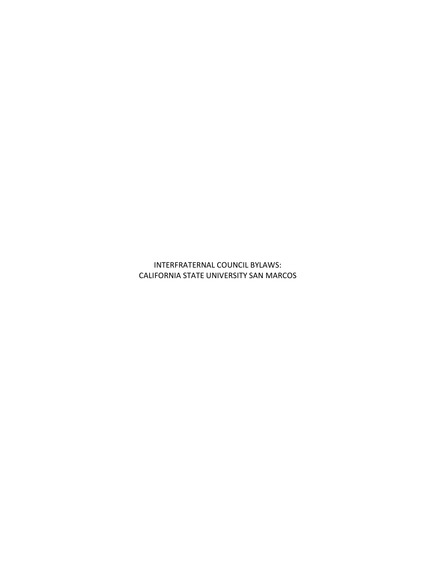INTERFRATERNAL COUNCIL BYLAWS: CALIFORNIA STATE UNIVERSITY SAN MARCOS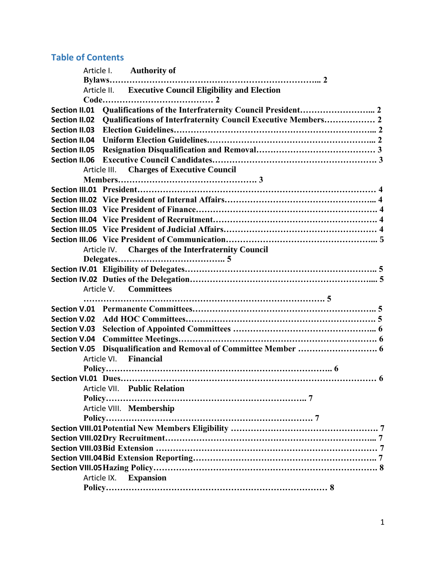# **Table of Contents**

|                                                        | Article I. Authority of                                       |  |
|--------------------------------------------------------|---------------------------------------------------------------|--|
|                                                        |                                                               |  |
| Article II. Executive Council Eligibility and Election |                                                               |  |
|                                                        |                                                               |  |
| <b>Section II.01</b>                                   |                                                               |  |
| <b>Section II.02</b>                                   | Qualifications of Interfraternity Council Executive Members 2 |  |
| <b>Section II.03</b>                                   |                                                               |  |
| <b>Section II.04</b>                                   |                                                               |  |
| <b>Section II.05</b>                                   |                                                               |  |
|                                                        |                                                               |  |
|                                                        | Article III. Charges of Executive Council                     |  |
|                                                        |                                                               |  |
|                                                        |                                                               |  |
|                                                        |                                                               |  |
|                                                        |                                                               |  |
|                                                        |                                                               |  |
|                                                        |                                                               |  |
|                                                        |                                                               |  |
|                                                        | Article IV. Charges of the Interfraternity Council            |  |
|                                                        |                                                               |  |
|                                                        |                                                               |  |
|                                                        |                                                               |  |
| <b>Committees</b><br>Article V.                        |                                                               |  |
|                                                        |                                                               |  |
|                                                        |                                                               |  |
|                                                        |                                                               |  |
| <b>Section V.04</b>                                    |                                                               |  |
| <b>Section V.05</b>                                    |                                                               |  |
|                                                        | Article VI. Financial                                         |  |
|                                                        |                                                               |  |
|                                                        |                                                               |  |
|                                                        | Article VII. Public Relation                                  |  |
|                                                        |                                                               |  |
|                                                        | Article VIII. Membership                                      |  |
|                                                        | Policy                                                        |  |
|                                                        |                                                               |  |
|                                                        |                                                               |  |
|                                                        |                                                               |  |
|                                                        |                                                               |  |
|                                                        |                                                               |  |
|                                                        | Article IX. Expansion                                         |  |
|                                                        |                                                               |  |
|                                                        |                                                               |  |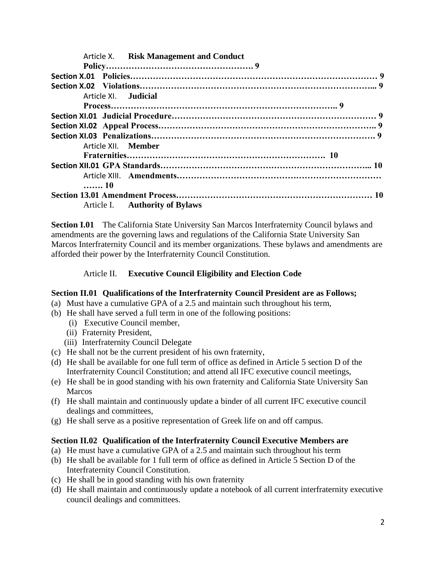| Article X. Risk Management and Conduct |  |
|----------------------------------------|--|
|                                        |  |
|                                        |  |
|                                        |  |
| Article XI. Judicial                   |  |
|                                        |  |
|                                        |  |
|                                        |  |
|                                        |  |
| Article XII. Member                    |  |
|                                        |  |
|                                        |  |
|                                        |  |
| 10                                     |  |
|                                        |  |
| Article I. Authority of Bylaws         |  |

**Section I.01** The California State University San Marcos Interfraternity Council bylaws and amendments are the governing laws and regulations of the California State University San Marcos Interfraternity Council and its member organizations. These bylaws and amendments are afforded their power by the Interfraternity Council Constitution.

# Article II. **Executive Council Eligibility and Election Code**

# **Section II.01 Qualifications of the Interfraternity Council President are as Follows;**

- (a) Must have a cumulative GPA of a 2.5 and maintain such throughout his term,
- (b) He shall have served a full term in one of the following positions:
	- (i) Executive Council member,
	- (ii) Fraternity President,
	- (iii) Interfraternity Council Delegate
- (c) He shall not be the current president of his own fraternity,
- (d) He shall be available for one full term of office as defined in Article 5 section D of the Interfraternity Council Constitution; and attend all IFC executive council meetings,
- (e) He shall be in good standing with his own fraternity and California State University San **Marcos**
- (f) He shall maintain and continuously update a binder of all current IFC executive council dealings and committees,
- (g) He shall serve as a positive representation of Greek life on and off campus.

# **Section II.02 Qualification of the Interfraternity Council Executive Members are**

- (a) He must have a cumulative GPA of a 2.5 and maintain such throughout his term
- (b) He shall be available for 1 full term of office as defined in Article 5 Section D of the Interfraternity Council Constitution.
- (c) He shall be in good standing with his own fraternity
- (d) He shall maintain and continuously update a notebook of all current interfraternity executive council dealings and committees.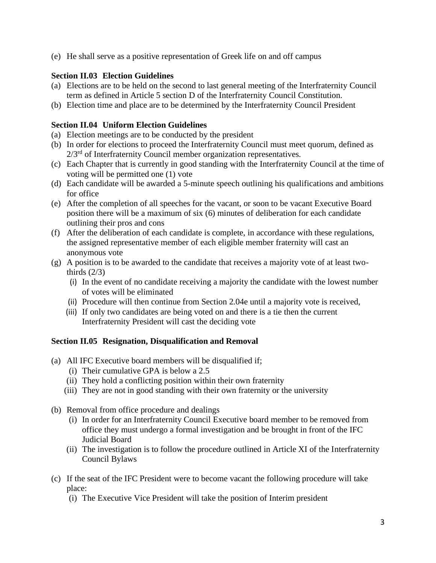(e) He shall serve as a positive representation of Greek life on and off campus

# **Section II.03 Election Guidelines**

- (a) Elections are to be held on the second to last general meeting of the Interfraternity Council term as defined in Article 5 section D of the Interfraternity Council Constitution.
- (b) Election time and place are to be determined by the Interfraternity Council President

#### **Section II.04 Uniform Election Guidelines**

- (a) Election meetings are to be conducted by the president
- (b) In order for elections to proceed the Interfraternity Council must meet quorum, defined as  $2/3<sup>rd</sup>$  of Interfraternity Council member organization representatives.
- (c) Each Chapter that is currently in good standing with the Interfraternity Council at the time of voting will be permitted one (1) vote
- (d) Each candidate will be awarded a 5-minute speech outlining his qualifications and ambitions for office
- (e) After the completion of all speeches for the vacant, or soon to be vacant Executive Board position there will be a maximum of six (6) minutes of deliberation for each candidate outlining their pros and cons
- (f) After the deliberation of each candidate is complete, in accordance with these regulations, the assigned representative member of each eligible member fraternity will cast an anonymous vote
- (g) A position is to be awarded to the candidate that receives a majority vote of at least twothirds  $(2/3)$ 
	- (i) In the event of no candidate receiving a majority the candidate with the lowest number of votes will be eliminated
	- (ii) Procedure will then continue from Section 2.04e until a majority vote is received,
	- (iii) If only two candidates are being voted on and there is a tie then the current Interfraternity President will cast the deciding vote

#### **Section II.05 Resignation, Disqualification and Removal**

- (a) All IFC Executive board members will be disqualified if;
	- (i) Their cumulative GPA is below a 2.5
	- (ii) They hold a conflicting position within their own fraternity
	- (iii) They are not in good standing with their own fraternity or the university
- (b) Removal from office procedure and dealings
	- (i) In order for an Interfraternity Council Executive board member to be removed from office they must undergo a formal investigation and be brought in front of the IFC Judicial Board
	- (ii) The investigation is to follow the procedure outlined in Article XI of the Interfraternity Council Bylaws
- (c) If the seat of the IFC President were to become vacant the following procedure will take place:
	- (i) The Executive Vice President will take the position of Interim president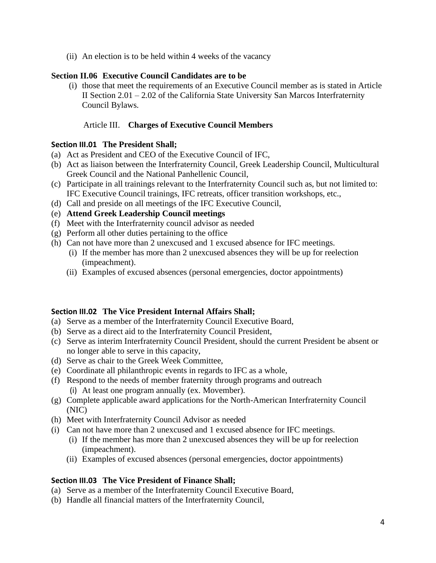(ii) An election is to be held within 4 weeks of the vacancy

#### **Section II.06 Executive Council Candidates are to be**

(i) those that meet the requirements of an Executive Council member as is stated in Article II Section 2.01 – 2.02 of the California State University San Marcos Interfraternity Council Bylaws.

#### Article III. **Charges of Executive Council Members**

#### **Section III.01 The President Shall;**

- (a) Act as President and CEO of the Executive Council of IFC,
- (b) Act as liaison between the Interfraternity Council, Greek Leadership Council, Multicultural Greek Council and the National Panhellenic Council,
- (c) Participate in all trainings relevant to the Interfraternity Council such as, but not limited to: IFC Executive Council trainings, IFC retreats, officer transition workshops, etc.,
- (d) Call and preside on all meetings of the IFC Executive Council,
- (e) **Attend Greek Leadership Council meetings**
- (f) Meet with the Interfraternity council advisor as needed
- (g) Perform all other duties pertaining to the office
- (h) Can not have more than 2 unexcused and 1 excused absence for IFC meetings.
	- (i) If the member has more than 2 unexcused absences they will be up for reelection (impeachment).
	- (ii) Examples of excused absences (personal emergencies, doctor appointments)

#### **Section III.02 The Vice President Internal Affairs Shall;**

- (a) Serve as a member of the Interfraternity Council Executive Board,
- (b) Serve as a direct aid to the Interfraternity Council President,
- (c) Serve as interim Interfraternity Council President, should the current President be absent or no longer able to serve in this capacity,
- (d) Serve as chair to the Greek Week Committee,
- (e) Coordinate all philanthropic events in regards to IFC as a whole,
- (f) Respond to the needs of member fraternity through programs and outreach (i) At least one program annually (ex. Movember).
- (g) Complete applicable award applications for the North-American Interfraternity Council (NIC)
- (h) Meet with Interfraternity Council Advisor as needed
- (i) Can not have more than 2 unexcused and 1 excused absence for IFC meetings.
	- (i) If the member has more than 2 unexcused absences they will be up for reelection (impeachment).
	- (ii) Examples of excused absences (personal emergencies, doctor appointments)

# **Section III.03 The Vice President of Finance Shall;**

- (a) Serve as a member of the Interfraternity Council Executive Board,
- (b) Handle all financial matters of the Interfraternity Council,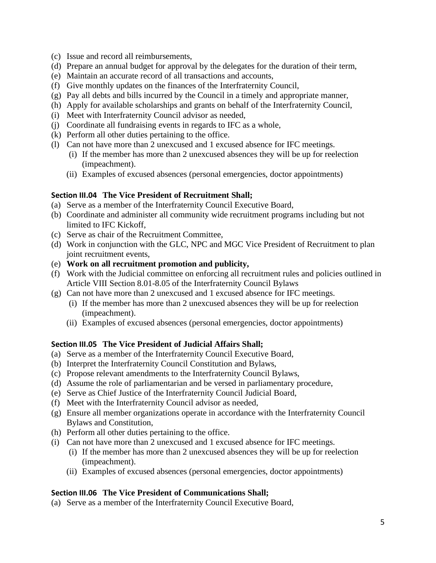- (c) Issue and record all reimbursements,
- (d) Prepare an annual budget for approval by the delegates for the duration of their term,
- (e) Maintain an accurate record of all transactions and accounts,
- (f) Give monthly updates on the finances of the Interfraternity Council,
- (g) Pay all debts and bills incurred by the Council in a timely and appropriate manner,
- (h) Apply for available scholarships and grants on behalf of the Interfraternity Council,
- (i) Meet with Interfraternity Council advisor as needed,
- (j) Coordinate all fundraising events in regards to IFC as a whole,
- (k) Perform all other duties pertaining to the office.
- (l) Can not have more than 2 unexcused and 1 excused absence for IFC meetings.
	- (i) If the member has more than 2 unexcused absences they will be up for reelection (impeachment).
	- (ii) Examples of excused absences (personal emergencies, doctor appointments)

#### **Section III.04 The Vice President of Recruitment Shall;**

- (a) Serve as a member of the Interfraternity Council Executive Board,
- (b) Coordinate and administer all community wide recruitment programs including but not limited to IFC Kickoff,
- (c) Serve as chair of the Recruitment Committee,
- (d) Work in conjunction with the GLC, NPC and MGC Vice President of Recruitment to plan joint recruitment events,
- (e) **Work on all recruitment promotion and publicity,**
- (f) Work with the Judicial committee on enforcing all recruitment rules and policies outlined in Article VIII Section 8.01-8.05 of the Interfraternity Council Bylaws
- (g) Can not have more than 2 unexcused and 1 excused absence for IFC meetings.
	- (i) If the member has more than 2 unexcused absences they will be up for reelection (impeachment).
	- (ii) Examples of excused absences (personal emergencies, doctor appointments)

# **Section III.05 The Vice President of Judicial Affairs Shall;**

- (a) Serve as a member of the Interfraternity Council Executive Board,
- (b) Interpret the Interfraternity Council Constitution and Bylaws,
- (c) Propose relevant amendments to the Interfraternity Council Bylaws,
- (d) Assume the role of parliamentarian and be versed in parliamentary procedure,
- (e) Serve as Chief Justice of the Interfraternity Council Judicial Board,
- (f) Meet with the Interfraternity Council advisor as needed,
- (g) Ensure all member organizations operate in accordance with the Interfraternity Council Bylaws and Constitution,
- (h) Perform all other duties pertaining to the office.
- (i) Can not have more than 2 unexcused and 1 excused absence for IFC meetings.
	- (i) If the member has more than 2 unexcused absences they will be up for reelection (impeachment).
	- (ii) Examples of excused absences (personal emergencies, doctor appointments)

# **Section III.06 The Vice President of Communications Shall;**

(a) Serve as a member of the Interfraternity Council Executive Board,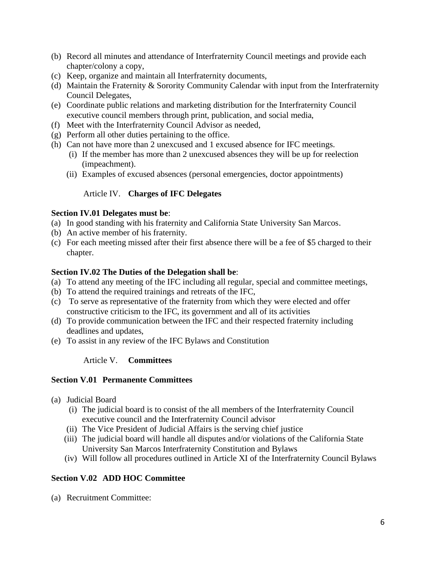- (b) Record all minutes and attendance of Interfraternity Council meetings and provide each chapter/colony a copy,
- (c) Keep, organize and maintain all Interfraternity documents,
- (d) Maintain the Fraternity & Sorority Community Calendar with input from the Interfraternity Council Delegates,
- (e) Coordinate public relations and marketing distribution for the Interfraternity Council executive council members through print, publication, and social media,
- (f) Meet with the Interfraternity Council Advisor as needed,
- (g) Perform all other duties pertaining to the office.
- (h) Can not have more than 2 unexcused and 1 excused absence for IFC meetings.
	- (i) If the member has more than 2 unexcused absences they will be up for reelection (impeachment).
	- (ii) Examples of excused absences (personal emergencies, doctor appointments)

#### Article IV. **Charges of IFC Delegates**

#### **Section IV.01 Delegates must be**:

- (a) In good standing with his fraternity and California State University San Marcos.
- (b) An active member of his fraternity.
- (c) For each meeting missed after their first absence there will be a fee of \$5 charged to their chapter.

#### **Section IV.02 The Duties of the Delegation shall be**:

- (a) To attend any meeting of the IFC including all regular, special and committee meetings,
- (b) To attend the required trainings and retreats of the IFC,
- (c) To serve as representative of the fraternity from which they were elected and offer constructive criticism to the IFC, its government and all of its activities
- (d) To provide communication between the IFC and their respected fraternity including deadlines and updates,
- (e) To assist in any review of the IFC Bylaws and Constitution

#### Article V. **Committees**

#### **Section V.01 Permanente Committees**

- (a) Judicial Board
	- (i) The judicial board is to consist of the all members of the Interfraternity Council executive council and the Interfraternity Council advisor
	- (ii) The Vice President of Judicial Affairs is the serving chief justice
	- (iii) The judicial board will handle all disputes and/or violations of the California State University San Marcos Interfraternity Constitution and Bylaws
	- (iv) Will follow all procedures outlined in Article XI of the Interfraternity Council Bylaws

#### **Section V.02 ADD HOC Committee**

(a) Recruitment Committee: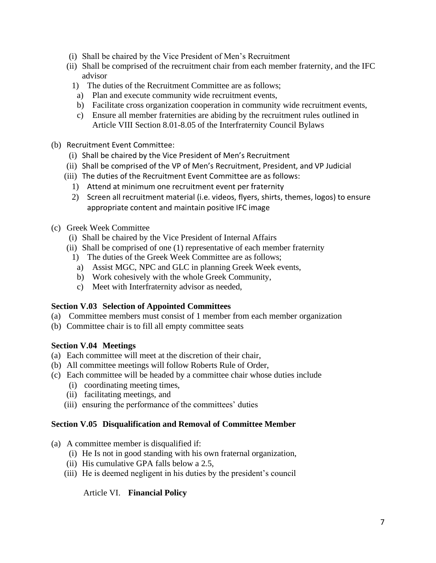- (i) Shall be chaired by the Vice President of Men's Recruitment
- (ii) Shall be comprised of the recruitment chair from each member fraternity, and the IFC advisor
	- 1) The duties of the Recruitment Committee are as follows;
		- a) Plan and execute community wide recruitment events,
		- b) Facilitate cross organization cooperation in community wide recruitment events,
		- c) Ensure all member fraternities are abiding by the recruitment rules outlined in Article VIII Section 8.01-8.05 of the Interfraternity Council Bylaws
- (b) Recruitment Event Committee:
	- (i) Shall be chaired by the Vice President of Men's Recruitment
	- (ii) Shall be comprised of the VP of Men's Recruitment, President, and VP Judicial
	- (iii) The duties of the Recruitment Event Committee are as follows:
		- 1) Attend at minimum one recruitment event per fraternity
		- 2) Screen all recruitment material (i.e. videos, flyers, shirts, themes, logos) to ensure appropriate content and maintain positive IFC image
- (c) Greek Week Committee
	- (i) Shall be chaired by the Vice President of Internal Affairs
	- (ii) Shall be comprised of one (1) representative of each member fraternity
		- 1) The duties of the Greek Week Committee are as follows;
		- a) Assist MGC, NPC and GLC in planning Greek Week events,
		- b) Work cohesively with the whole Greek Community,
		- c) Meet with Interfraternity advisor as needed,

#### **Section V.03 Selection of Appointed Committees**

- (a) Committee members must consist of 1 member from each member organization
- (b) Committee chair is to fill all empty committee seats

# **Section V.04 Meetings**

- (a) Each committee will meet at the discretion of their chair,
- (b) All committee meetings will follow Roberts Rule of Order,
- (c) Each committee will be headed by a committee chair whose duties include
	- (i) coordinating meeting times,
	- (ii) facilitating meetings, and
	- (iii) ensuring the performance of the committees' duties

# **Section V.05 Disqualification and Removal of Committee Member**

- (a) A committee member is disqualified if:
	- (i) He Is not in good standing with his own fraternal organization,
	- (ii) His cumulative GPA falls below a 2.5,
	- (iii) He is deemed negligent in his duties by the president's council

# Article VI. **Financial Policy**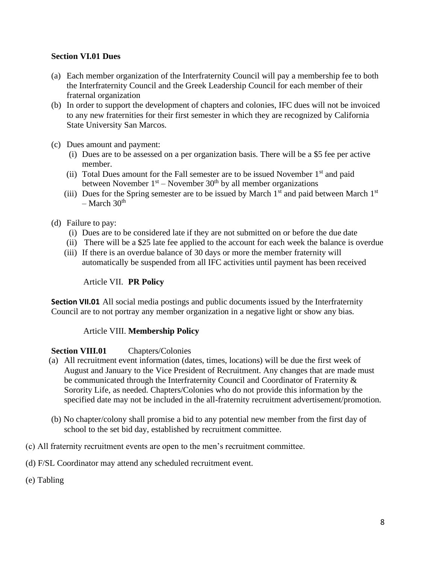# **Section VI.01 Dues**

- (a) Each member organization of the Interfraternity Council will pay a membership fee to both the Interfraternity Council and the Greek Leadership Council for each member of their fraternal organization
- (b) In order to support the development of chapters and colonies, IFC dues will not be invoiced to any new fraternities for their first semester in which they are recognized by California State University San Marcos.
- (c) Dues amount and payment:
	- (i) Dues are to be assessed on a per organization basis. There will be a \$5 fee per active member.
	- (ii) Total Dues amount for the Fall semester are to be issued November  $1<sup>st</sup>$  and paid between November  $1<sup>st</sup>$  – November  $30<sup>th</sup>$  by all member organizations
	- (iii) Dues for the Spring semester are to be issued by March  $1<sup>st</sup>$  and paid between March  $1<sup>st</sup>$  $-$  March 30<sup>th</sup>
- (d) Failure to pay:
	- (i) Dues are to be considered late if they are not submitted on or before the due date
	- (ii) There will be a \$25 late fee applied to the account for each week the balance is overdue
	- (iii) If there is an overdue balance of 30 days or more the member fraternity will automatically be suspended from all IFC activities until payment has been received

#### Article VII. **PR Policy**

**Section VII.01** All social media postings and public documents issued by the Interfraternity Council are to not portray any member organization in a negative light or show any bias.

#### Article VIII. **Membership Policy**

#### **Section VIII.01** Chapters/Colonies

- (a) All recruitment event information (dates, times, locations) will be due the first week of August and January to the Vice President of Recruitment. Any changes that are made must be communicated through the Interfraternity Council and Coordinator of Fraternity & Sorority Life, as needed. Chapters/Colonies who do not provide this information by the specified date may not be included in the all-fraternity recruitment advertisement/promotion.
- (b) No chapter/colony shall promise a bid to any potential new member from the first day of school to the set bid day, established by recruitment committee.
- (c) All fraternity recruitment events are open to the men's recruitment committee.
- (d) F/SL Coordinator may attend any scheduled recruitment event.
- (e) Tabling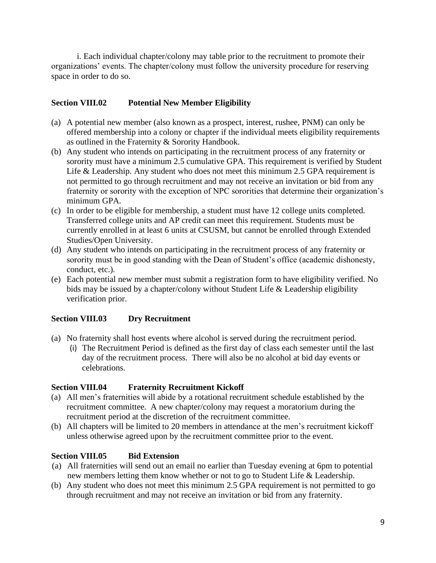i. Each individual chapter/colony may table prior to the recruitment to promote their organizations' events. The chapter/colony must follow the university procedure for reserving space in order to do so.

# **Section VIII.02 Potential New Member Eligibility**

- (a) A potential new member (also known as a prospect, interest, rushee, PNM) can only be offered membership into a colony or chapter if the individual meets eligibility requirements as outlined in the Fraternity & Sorority Handbook.
- (b) Any student who intends on participating in the recruitment process of any fraternity or sorority must have a minimum 2.5 cumulative GPA. This requirement is verified by Student Life & Leadership. Any student who does not meet this minimum 2.5 GPA requirement is not permitted to go through recruitment and may not receive an invitation or bid from any fraternity or sorority with the exception of NPC sororities that determine their organization's minimum GPA.
- (c) In order to be eligible for membership, a student must have 12 college units completed. Transferred college units and AP credit can meet this requirement. Students must be currently enrolled in at least 6 units at CSUSM, but cannot be enrolled through Extended Studies/Open University.
- (d) Any student who intends on participating in the recruitment process of any fraternity or sorority must be in good standing with the Dean of Student's office (academic dishonesty, conduct, etc.).
- (e) Each potential new member must submit a registration form to have eligibility verified. No bids may be issued by a chapter/colony without Student Life & Leadership eligibility verification prior.

# **Section VIII.03 Dry Recruitment**

- (a) No fraternity shall host events where alcohol is served during the recruitment period.
	- (i) The Recruitment Period is defined as the first day of class each semester until the last day of the recruitment process. There will also be no alcohol at bid day events or celebrations.

# **Section VIII.04 Fraternity Recruitment Kickoff**

- (a) All men's fraternities will abide by a rotational recruitment schedule established by the recruitment committee. A new chapter/colony may request a moratorium during the recruitment period at the discretion of the recruitment committee.
- (b) All chapters will be limited to 20 members in attendance at the men's recruitment kickoff unless otherwise agreed upon by the recruitment committee prior to the event.

# **Section VIII.05 Bid Extension**

- (a) All fraternities will send out an email no earlier than Tuesday evening at 6pm to potential new members letting them know whether or not to go to Student Life & Leadership.
- (b) Any student who does not meet this minimum 2.5 GPA requirement is not permitted to go through recruitment and may not receive an invitation or bid from any fraternity.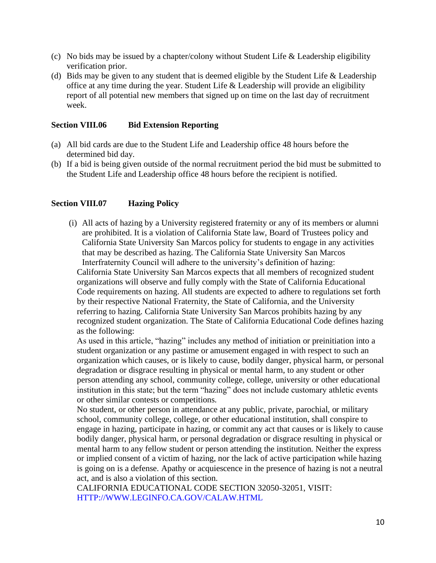- (c) No bids may be issued by a chapter/colony without Student Life  $&$  Leadership eligibility verification prior.
- (d) Bids may be given to any student that is deemed eligible by the Student Life  $&$  Leadership office at any time during the year. Student Life & Leadership will provide an eligibility report of all potential new members that signed up on time on the last day of recruitment week.

#### **Section VIII.06 Bid Extension Reporting**

- (a) All bid cards are due to the Student Life and Leadership office 48 hours before the determined bid day.
- (b) If a bid is being given outside of the normal recruitment period the bid must be submitted to the Student Life and Leadership office 48 hours before the recipient is notified.

#### **Section VIII.07 Hazing Policy**

(i) All acts of hazing by a University registered fraternity or any of its members or alumni are prohibited. It is a violation of California State law, Board of Trustees policy and California State University San Marcos policy for students to engage in any activities that may be described as hazing. The California State University San Marcos Interfraternity Council will adhere to the university's definition of hazing:

California State University San Marcos expects that all members of recognized student organizations will observe and fully comply with the State of California Educational Code requirements on hazing. All students are expected to adhere to regulations set forth by their respective National Fraternity, the State of California, and the University referring to hazing. California State University San Marcos prohibits hazing by any recognized student organization. The State of California Educational Code defines hazing as the following:

As used in this article, "hazing" includes any method of initiation or preinitiation into a student organization or any pastime or amusement engaged in with respect to such an organization which causes, or is likely to cause, bodily danger, physical harm, or personal degradation or disgrace resulting in physical or mental harm, to any student or other person attending any school, community college, college, university or other educational institution in this state; but the term "hazing" does not include customary athletic events or other similar contests or competitions.

No student, or other person in attendance at any public, private, parochial, or military school, community college, college, or other educational institution, shall conspire to engage in hazing, participate in hazing, or commit any act that causes or is likely to cause bodily danger, physical harm, or personal degradation or disgrace resulting in physical or mental harm to any fellow student or person attending the institution. Neither the express or implied consent of a victim of hazing, nor the lack of active participation while hazing is going on is a defense. Apathy or acquiescence in the presence of hazing is not a neutral act, and is also a violation of this section.

CALIFORNIA EDUCATIONAL CODE SECTION 32050-32051, VISIT: HTTP://WWW.LEGINFO.CA.GOV/CALAW.HTML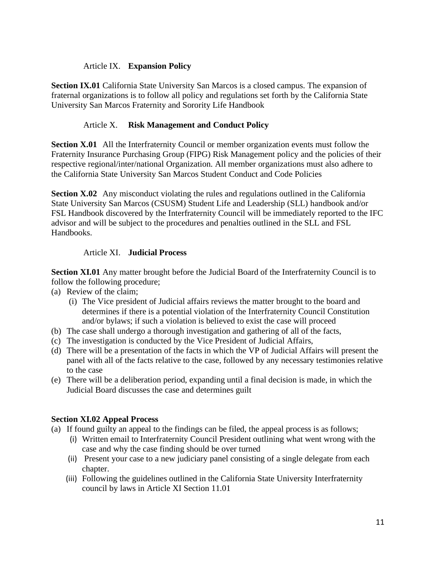# Article IX. **Expansion Policy**

**Section IX.01** California State University San Marcos is a closed campus. The expansion of fraternal organizations is to follow all policy and regulations set forth by the California State University San Marcos Fraternity and Sorority Life Handbook

# Article X. **Risk Management and Conduct Policy**

**Section X.01** All the Interfraternity Council or member organization events must follow the Fraternity Insurance Purchasing Group (FIPG) Risk Management policy and the policies of their respective regional/inter/national Organization. All member organizations must also adhere to the California State University San Marcos Student Conduct and Code Policies

**Section X.02** Any misconduct violating the rules and regulations outlined in the California State University San Marcos (CSUSM) Student Life and Leadership (SLL) handbook and/or FSL Handbook discovered by the Interfraternity Council will be immediately reported to the IFC advisor and will be subject to the procedures and penalties outlined in the SLL and FSL Handbooks.

# Article XI. **Judicial Process**

**Section XI.01** Any matter brought before the Judicial Board of the Interfraternity Council is to follow the following procedure;

- (a) Review of the claim;
	- (i) The Vice president of Judicial affairs reviews the matter brought to the board and determines if there is a potential violation of the Interfraternity Council Constitution and/or bylaws; if such a violation is believed to exist the case will proceed
- (b) The case shall undergo a thorough investigation and gathering of all of the facts,
- (c) The investigation is conducted by the Vice President of Judicial Affairs,
- (d) There will be a presentation of the facts in which the VP of Judicial Affairs will present the panel with all of the facts relative to the case, followed by any necessary testimonies relative to the case
- (e) There will be a deliberation period, expanding until a final decision is made, in which the Judicial Board discusses the case and determines guilt

# **Section XI.02 Appeal Process**

- (a) If found guilty an appeal to the findings can be filed, the appeal process is as follows;
	- (i) Written email to Interfraternity Council President outlining what went wrong with the case and why the case finding should be over turned
	- (ii) Present your case to a new judiciary panel consisting of a single delegate from each chapter.
	- (iii) Following the guidelines outlined in the California State University Interfraternity council by laws in Article XI Section 11.01